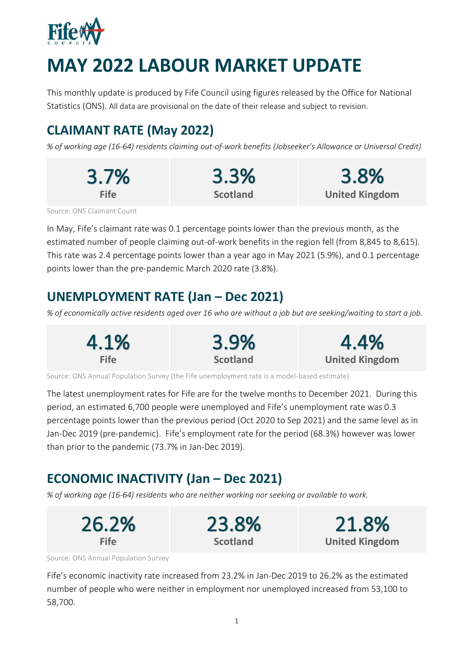

# **MAY 2022 LABOUR MARKET UPDATE**

This monthly update is produced by Fife Council using figures released by the Office for National Statistics (ONS). All data are provisional on the date of their release and subject to revision.

# **CLAIMANT RATE (May 2022)**

*% of working age (16-64) residents claiming out-of-work benefits (Jobseeker's Allowance or Universal Credit)*

| 3.7%  | 3.3%            | 3.8%                  |
|-------|-----------------|-----------------------|
| Fife. | <b>Scotland</b> | <b>United Kingdom</b> |

Source: ONS Claimant Count

In May, Fife's claimant rate was 0.1 percentage points lower than the previous month, as the estimated number of people claiming out-of-work benefits in the region fell (from 8,845 to 8,615). This rate was 2.4 percentage points lower than a year ago in May 2021 (5.9%), and 0.1 percentage points lower than the pre-pandemic March 2020 rate (3.8%).

### **UNEMPLOYMENT RATE (Jan – Dec 2021)**

*% of economically active residents aged over 16 who are without a job but are seeking/waiting to start a job.*

| 4.1%        | 3.9%            | 4.4%                  |
|-------------|-----------------|-----------------------|
| <b>Fife</b> | <b>Scotland</b> | <b>United Kingdom</b> |

Source: ONS Annual Population Survey (the Fife unemployment rate is a model-based estimate)

The latest unemployment rates for Fife are for the twelve months to December 2021. During this period, an estimated 6,700 people were unemployed and Fife's unemployment rate was 0.3 percentage points lower than the previous period (Oct 2020 to Sep 2021) and the same level as in Jan-Dec 2019 (pre-pandemic). Fife's employment rate for the period (68.3%) however was lower than prior to the pandemic (73.7% in Jan-Dec 2019).

# **ECONOMIC INACTIVITY (Jan – Dec 2021)**

*% of working age (16-64) residents who are neither working nor seeking or available to work.*



Source: ONS Annual Population Survey

Fife's economic inactivity rate increased from 23.2% in Jan-Dec 2019 to 26.2% as the estimated number of people who were neither in employment nor unemployed increased from 53,100 to 58,700.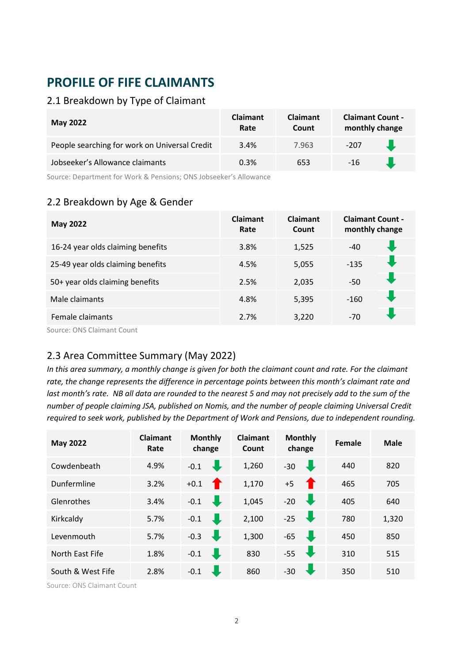# **PROFILE OF FIFE CLAIMANTS**

#### 2.1 Breakdown by Type of Claimant

| <b>May 2022</b>                               | <b>Claimant</b><br>Rate | <b>Claimant</b><br>Count | <b>Claimant Count -</b><br>monthly change |  |
|-----------------------------------------------|-------------------------|--------------------------|-------------------------------------------|--|
| People searching for work on Universal Credit | 3.4%                    | 7.963                    | -207                                      |  |
| Jobseeker's Allowance claimants               | 0.3%                    | 653                      | $-16$                                     |  |

Source: Department for Work & Pensions; ONS Jobseeker's Allowance

#### 2.2 Breakdown by Age & Gender

| <b>May 2022</b>                                    | <b>Claimant</b><br>Rate | <b>Claimant</b><br>Count | <b>Claimant Count -</b><br>monthly change |  |
|----------------------------------------------------|-------------------------|--------------------------|-------------------------------------------|--|
| 16-24 year olds claiming benefits                  | 3.8%                    | 1,525                    | $-40$                                     |  |
| 25-49 year olds claiming benefits                  | 4.5%                    | 5,055                    | $-135$                                    |  |
| 50+ year olds claiming benefits                    | 2.5%                    | 2,035                    | $-50$                                     |  |
| Male claimants                                     | 4.8%                    | 5,395                    | $-160$                                    |  |
| Female claimants                                   | 2.7%                    | 3,220                    | $-70$                                     |  |
| $C = \ldots - C$ and $C = \ldots - C = \ldots - C$ |                         |                          |                                           |  |

Source: ONS Claimant Count

#### 2.3 Area Committee Summary (May 2022)

*In this area summary, a monthly change is given for both the claimant count and rate. For the claimant rate, the change represents the difference in percentage points between this month's claimant rate and last month's rate. NB all data are rounded to the nearest 5 and may not precisely add to the sum of the number of people claiming JSA, published on Nomis, and the number of people claiming Universal Credit required to seek work, published by the Department of Work and Pensions, due to independent rounding.*

| <b>May 2022</b>   | Claimant<br>Rate | <b>Monthly</b><br>change           | Claimant<br>Count | <b>Monthly</b><br>change      | Female | <b>Male</b> |
|-------------------|------------------|------------------------------------|-------------------|-------------------------------|--------|-------------|
| Cowdenbeath       | 4.9%             | J<br>$-0.1$                        | 1,260             | $-30$<br>U                    | 440    | 820         |
| Dunfermline       | 3.2%             | $\bullet$<br>$+0.1$                | 1,170             | $+5$<br>T                     | 465    | 705         |
| Glenrothes        | 3.4%             | $\overline{\phantom{a}}$<br>$-0.1$ | 1,045             | $-20$<br>$\bullet$            | 405    | 640         |
| Kirkcaldy         | 5.7%             | J.<br>$-0.1$                       | 2,100             | $-25$<br>$\ddot{}$            | 780    | 1,320       |
| Levenmouth        | 5.7%             | $\overline{\mathbf{u}}$<br>$-0.3$  | 1,300             | $-65$<br>$\mathbf{L}$         | 450    | 850         |
| North East Fife   | 1.8%             | J<br>$-0.1$                        | 830               | $-55$<br>$\ddot{\phantom{a}}$ | 310    | 515         |
| South & West Fife | 2.8%             | J.<br>$-0.1$                       | 860               | $-30$                         | 350    | 510         |

Source: ONS Claimant Count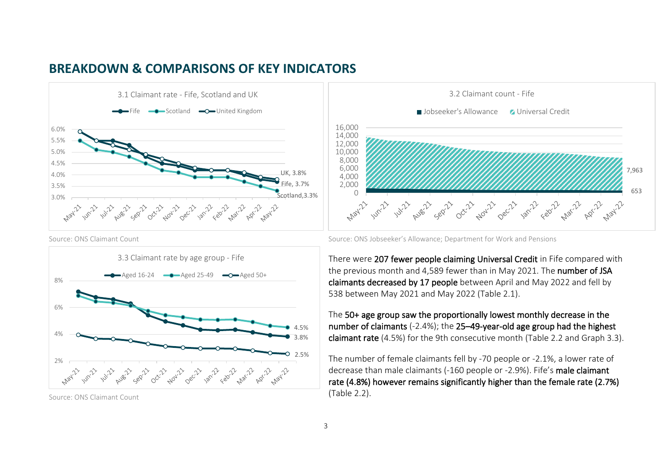







Source: ONS Claimant Count



Source: ONS Claimant Count Source: ONS Jobseeker's Allowance; Department for Work and Pensions

There were 207 fewer people claiming Universal Credit in Fife compared with the previous month and 4,589 fewer than in May 2021. The number of JSA claimants decreased by 17 people between April and May 2022 and fell by 538 between May 2021 and May 2022 (Table 2.1).

The 50+ age group saw the proportionally lowest monthly decrease in the number of claimants (-2.4%); the 25–49-year-old age group had the highest claimant rate (4.5%) for the 9th consecutive month (Table 2.2 and Graph 3.3).

The number of female claimants fell by -70 people or -2.1%, a lower rate of decrease than male claimants (-160 people or -2.9%). Fife's male claimant rate (4.8%) however remains significantly higher than the female rate (2.7%) (Table 2.2).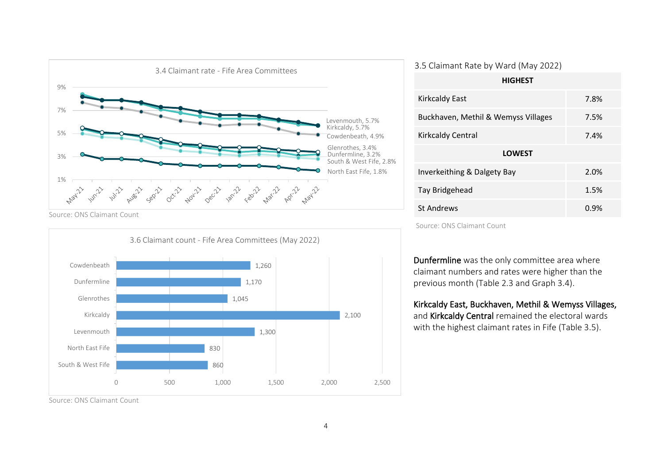

Source: ONS Claimant Count



| <b>HIGHEST</b>                      |      |  |  |  |
|-------------------------------------|------|--|--|--|
| <b>Kirkcaldy East</b>               | 7.8% |  |  |  |
| Buckhaven, Methil & Wemyss Villages | 7.5% |  |  |  |
| <b>Kirkcaldy Central</b>            | 7.4% |  |  |  |
| <b>LOWEST</b>                       |      |  |  |  |
| Inverkeithing & Dalgety Bay         | 2.0% |  |  |  |
| Tay Bridgehead                      | 1.5% |  |  |  |
|                                     |      |  |  |  |

Source: ONS Claimant Count

Dunfermline was the only committee area where claimant numbers and rates were higher than the previous month (Table 2.3 and Graph 3.4).

St Andrews **6.9% 1.1 and 1.1 and 1.1 and 1.1 and 1.1 and 1.1 and 1.1 and 1.1 and 1.1 and 1.1 and 1.1 and 1.1 and 1.1 and 1.1 and 1.1 and 1.1 and 1.1 and 1.1 and 1.1 and 1.1 and 1.1 and 1.1 and 1.1 and 1.1 and 1.1 and 1.1** 

#### Kirkcaldy East, Buckhaven, Methil & Wemyss Villages,

and Kirkcaldy Central remained the electoral wards with the highest claimant rates in Fife (Table 3.5).

Source: ONS Claimant Count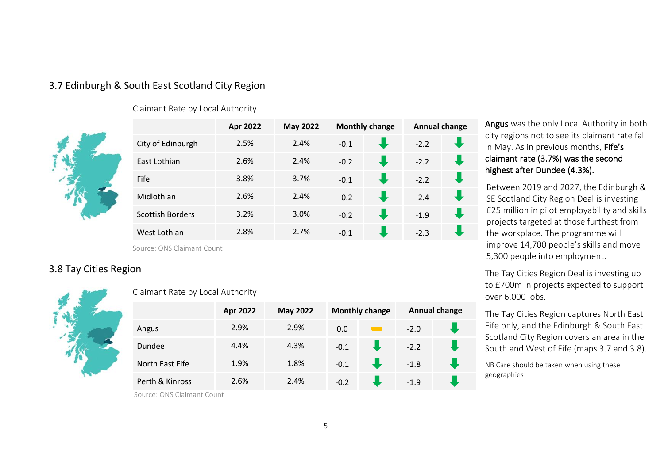#### 3.7 Edinburgh & South East Scotland City Region

Claimant Rate by Local Authority



|                         | Apr 2022 | <b>May 2022</b> | <b>Monthly change</b> |   | <b>Annual change</b> |  |
|-------------------------|----------|-----------------|-----------------------|---|----------------------|--|
| City of Edinburgh       | 2.5%     | 2.4%            | $-0.1$                | J | $-2.2$               |  |
| East Lothian            | 2.6%     | 2.4%            | $-0.2$                | Æ | $-2.2$               |  |
| Fife                    | 3.8%     | 3.7%            | $-0.1$                |   | $-2.2$               |  |
| Midlothian              | 2.6%     | 2.4%            | $-0.2$                | J | $-2.4$               |  |
| <b>Scottish Borders</b> | 3.2%     | 3.0%            | $-0.2$                | J | $-1.9$               |  |
| West Lothian            | 2.8%     | 2.7%            | $-0.1$                |   | $-2.3$               |  |

Source: ONS Claimant Count

#### 3.8 Tay Cities Region



| Claimant Rate by Local Authority |  |
|----------------------------------|--|
|----------------------------------|--|

|                 | Apr 2022 | <b>May 2022</b> | <b>Monthly change</b> |  | <b>Annual change</b> |  |
|-----------------|----------|-----------------|-----------------------|--|----------------------|--|
| Angus           | 2.9%     | 2.9%            | 0.0                   |  | $-2.0$               |  |
| Dundee          | 4.4%     | 4.3%            | $-0.1$                |  | $-2.2$               |  |
| North East Fife | 1.9%     | 1.8%            | $-0.1$                |  | $-1.8$               |  |
| Perth & Kinross | 2.6%     | 2.4%            | $-0.2$                |  | $-1.9$               |  |

Angus was the only Local Authority in both city regions not to see its claimant rate fall in May. As in previous months, Fife's claimant rate (3.7%) was the second highest after Dundee (4.3%).

Between 2019 and 2027, the Edinburgh & SE Scotland City Region Deal is investing £25 million in pilot employability and skills projects targeted at those furthest from the workplace. The programme will improve 14,700 people's skills and move 5,300 people into employment.

The Tay Cities Region Deal is investing up to £700m in projects expected to support over 6,000 jobs.

The Tay Cities Region captures North East Fife only, and the Edinburgh & South East Scotland City Region covers an area in the South and West of Fife (maps 3.7 and 3.8).

NB Care should be taken when using these geographies

Source: ONS Claimant Count